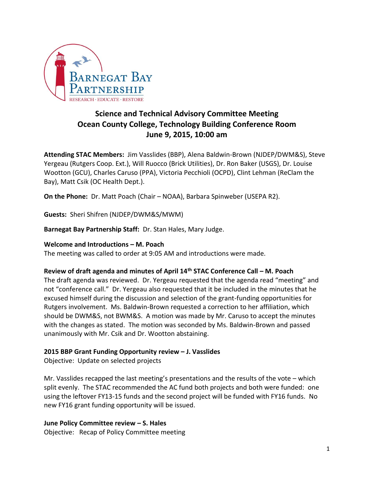

# **Science and Technical Advisory Committee Meeting Ocean County College, Technology Building Conference Room June 9, 2015, 10:00 am**

**Attending STAC Members:** Jim Vasslides (BBP), Alena Baldwin-Brown (NJDEP/DWM&S), Steve Yergeau (Rutgers Coop. Ext.), Will Ruocco (Brick Utilities), Dr. Ron Baker (USGS), Dr. Louise Wootton (GCU), Charles Caruso (PPA), Victoria Pecchioli (OCPD), Clint Lehman (ReClam the Bay), Matt Csik (OC Health Dept.).

**On the Phone:** Dr. Matt Poach (Chair – NOAA), Barbara Spinweber (USEPA R2).

**Guests:** Sheri Shifren (NJDEP/DWM&S/MWM)

**Barnegat Bay Partnership Staff:** Dr. Stan Hales, Mary Judge.

### **Welcome and Introductions – M. Poach**

The meeting was called to order at 9:05 AM and introductions were made.

## **Review of draft agenda and minutes of April 14th STAC Conference Call – M. Poach**

The draft agenda was reviewed. Dr. Yergeau requested that the agenda read "meeting" and not "conference call." Dr. Yergeau also requested that it be included in the minutes that he excused himself during the discussion and selection of the grant-funding opportunities for Rutgers involvement. Ms. Baldwin-Brown requested a correction to her affiliation, which should be DWM&S, not BWM&S. A motion was made by Mr. Caruso to accept the minutes with the changes as stated. The motion was seconded by Ms. Baldwin-Brown and passed unanimously with Mr. Csik and Dr. Wootton abstaining.

## **2015 BBP Grant Funding Opportunity review – J. Vasslides**

Objective: Update on selected projects

Mr. Vasslides recapped the last meeting's presentations and the results of the vote – which split evenly. The STAC recommended the AC fund both projects and both were funded: one using the leftover FY13-15 funds and the second project will be funded with FY16 funds. No new FY16 grant funding opportunity will be issued.

### **June Policy Committee review – S. Hales**

Objective: Recap of Policy Committee meeting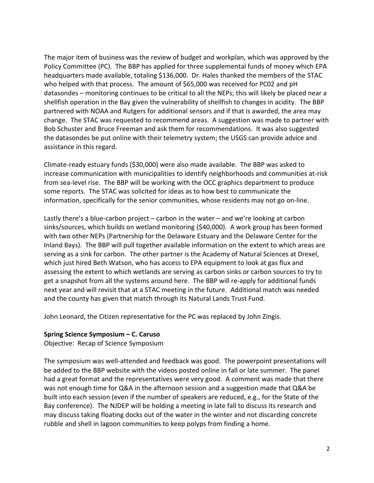The major item of business was the review of budget and workplan, which was approved by the Policy Committee (PC). The BBP has applied for three supplemental funds of money which EPA headquarters made available, totaling \$136,000. Dr. Hales thanked the members of the STAC who helped with that process. The amount of \$65,000 was received for PC02 and pH datasondes – monitoring continues to be critical to all the NEPs; this will likely be placed near a shellfish operation in the Bay given the vulnerability of shellfish to changes in acidity. The BBP partnered with NOAA and Rutgers for additional sensors and if that is awarded, the area may change. The STAC was requested to recommend areas. A suggestion was made to partner with Bob Schuster and Bruce Freeman and ask them for recommendations. It was also suggested the datasondes be put online with their telemetry system; the USGS can provide advice and assistance in this regard.

Climate-ready estuary funds (\$30,000) were also made available. The BBP was asked to increase communication with municipalities to identify neighborhoods and communities at-risk from sea-level rise. The BBP will be working with the OCC graphics department to produce some reports. The STAC was solicited for ideas as to how best to communicate the information, specifically for the senior communities, whose residents may not go on-line.

Lastly there's a blue-carbon project – carbon in the water – and we're looking at carbon sinks/sources, which builds on wetland monitoring (\$40,000). A work group has been formed with two other NEPs (Partnership for the Delaware Estuary and the Delaware Center for the Inland Bays). The BBP will pull together available information on the extent to which areas are serving as a sink for carbon. The other partner is the Academy of Natural Sciences at Drexel, which just hired Beth Watson, who has access to EPA equipment to look at gas flux and assessing the extent to which wetlands are serving as carbon sinks or carbon sources to try to get a snapshot from all the systems around here. The BBP will re-apply for additional funds next year and will revisit that at a STAC meeting in the future. Additional match was needed and the county has given that match through its Natural Lands Trust Fund.

John Leonard, the Citizen representative for the PC was replaced by John Zingis.

## **Spring Science Symposium – C. Caruso**

Objective: Recap of Science Symposium

The symposium was well-attended and feedback was good. The powerpoint presentations will be added to the BBP website with the videos posted online in fall or late summer. The panel had a great format and the representatives were very good. A comment was made that there was not enough time for Q&A in the afternoon session and a suggestion made that Q&A be built into each session (even if the number of speakers are reduced, e.g., for the State of the Bay conference). The NJDEP will be holding a meeting in late fall to discuss its research and may discuss taking floating docks out of the water in the winter and not discarding concrete rubble and shell in lagoon communities to keep polyps from finding a home.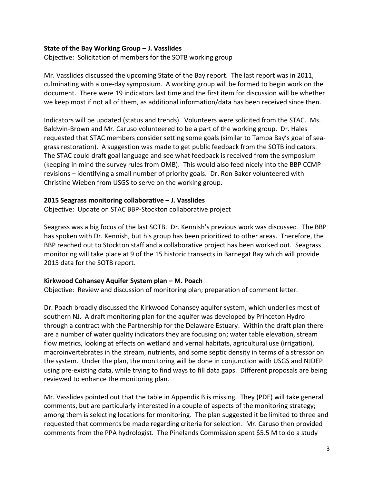### **State of the Bay Working Group – J. Vasslides**

Objective: Solicitation of members for the SOTB working group

Mr. Vasslides discussed the upcoming State of the Bay report. The last report was in 2011, culminating with a one-day symposium. A working group will be formed to begin work on the document. There were 19 indicators last time and the first item for discussion will be whether we keep most if not all of them, as additional information/data has been received since then.

Indicators will be updated (status and trends). Volunteers were solicited from the STAC. Ms. Baldwin-Brown and Mr. Caruso volunteered to be a part of the working group. Dr. Hales requested that STAC members consider setting some goals (similar to Tampa Bay's goal of seagrass restoration). A suggestion was made to get public feedback from the SOTB indicators. The STAC could draft goal language and see what feedback is received from the symposium (keeping in mind the survey rules from OMB). This would also feed nicely into the BBP CCMP revisions – identifying a small number of priority goals. Dr. Ron Baker volunteered with Christine Wieben from USGS to serve on the working group.

#### **2015 Seagrass monitoring collaborative – J. Vasslides**

Objective: Update on STAC BBP-Stockton collaborative project

Seagrass was a big focus of the last SOTB. Dr. Kennish's previous work was discussed. The BBP has spoken with Dr. Kennish, but his group has been prioritized to other areas. Therefore, the BBP reached out to Stockton staff and a collaborative project has been worked out. Seagrass monitoring will take place at 9 of the 15 historic transects in Barnegat Bay which will provide 2015 data for the SOTB report.

### **Kirkwood Cohansey Aquifer System plan – M. Poach**

Objective: Review and discussion of monitoring plan; preparation of comment letter.

Dr. Poach broadly discussed the Kirkwood Cohansey aquifer system, which underlies most of southern NJ. A draft monitoring plan for the aquifer was developed by Princeton Hydro through a contract with the Partnership for the Delaware Estuary. Within the draft plan there are a number of water quality indicators they are focusing on; water table elevation, stream flow metrics, looking at effects on wetland and vernal habitats, agricultural use (irrigation), macroinvertebrates in the stream, nutrients, and some septic density in terms of a stressor on the system. Under the plan, the monitoring will be done in conjunction with USGS and NJDEP using pre-existing data, while trying to find ways to fill data gaps. Different proposals are being reviewed to enhance the monitoring plan.

Mr. Vasslides pointed out that the table in Appendix B is missing. They (PDE) will take general comments, but are particularly interested in a couple of aspects of the monitoring strategy; among them is selecting locations for monitoring. The plan suggested it be limited to three and requested that comments be made regarding criteria for selection. Mr. Caruso then provided comments from the PPA hydrologist. The Pinelands Commission spent \$5.5 M to do a study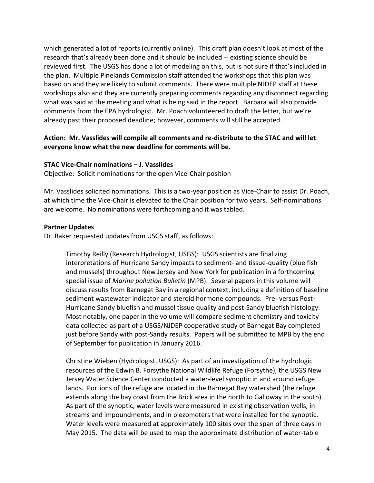which generated a lot of reports (currently online). This draft plan doesn't look at most of the research that's already been done and it should be included -- existing science should be reviewed first. The USGS has done a lot of modeling on this, but is not sure if that's included in the plan. Multiple Pinelands Commission staff attended the workshops that this plan was based on and they are likely to submit comments. There were multiple NJDEP staff at these workshops also and they are currently preparing comments regarding any disconnect regarding what was said at the meeting and what is being said in the report. Barbara will also provide comments from the EPA hydrologist. Mr. Poach volunteered to draft the letter, but we're already past their proposed deadline; however, comments will still be accepted.

## **Action: Mr. Vasslides will compile all comments and re-distribute to the STAC and will let everyone know what the new deadline for comments will be.**

### **STAC Vice-Chair nominations – J. Vasslides**

Objective: Solicit nominations for the open Vice-Chair position

Mr. Vasslides solicited nominations. This is a two-year position as Vice-Chair to assist Dr. Poach, at which time the Vice-Chair is elevated to the Chair position for two years. Self-nominations are welcome. No nominations were forthcoming and it was tabled.

#### **Partner Updates**

Dr. Baker requested updates from USGS staff, as follows:

Timothy Reilly (Research Hydrologist, USGS): USGS scientists are finalizing interpretations of Hurricane Sandy impacts to sediment- and tissue-quality (blue fish and mussels) throughout New Jersey and New York for publication in a forthcoming special issue of *Marine pollution Bulletin* (MPB). Several papers in this volume will discuss results from Barnegat Bay in a regional context, including a definition of baseline sediment wastewater indicator and steroid hormone compounds. Pre- versus Post-Hurricane Sandy bluefish and mussel tissue quality and post-Sandy bluefish histology. Most notably, one paper in the volume will compare sediment chemistry and toxicity data collected as part of a USGS/NJDEP cooperative study of Barnegat Bay completed just before Sandy with post-Sandy results. Papers will be submitted to MPB by the end of September for publication in January 2016.

Christine Wieben (Hydrologist, USGS): As part of an investigation of the hydrologic resources of the Edwin B. Forsythe National Wildlife Refuge (Forsythe), the USGS New Jersey Water Science Center conducted a water-level synoptic in and around refuge lands. Portions of the refuge are located in the Barnegat Bay watershed (the refuge extends along the bay coast from the Brick area in the north to Galloway in the south). As part of the synoptic, water levels were measured in existing observation wells, in streams and impoundments, and in piezometers that were installed for the synoptic. Water levels were measured at approximately 100 sites over the span of three days in May 2015. The data will be used to map the approximate distribution of water-table